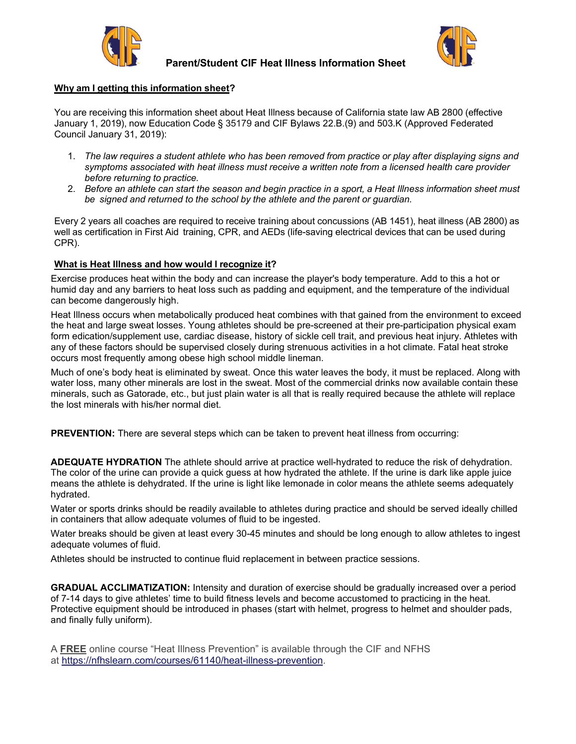

**Parent/Student CIF Heat Illness Information Sheet**



## **Why am I getting this information sheet?**

You are receiving this information sheet about Heat Illness because of California state law AB 2800 (effective January 1, 2019), now Education Code § 35179 and CIF Bylaws 22.B.(9) and 503.K (Approved Federated Council January 31, 2019):

- 1. *The law requires a student athlete who has been removed from practice or play after displaying signs and symptoms associated with heat illness must receive a written note from a licensed health care provider before returning to practice.*
- 2. Before an athlete can start the season and begin practice in a sport, a Heat Illness information sheet must *be signed and returned to the school by the athlete and the parent or guardian.*

Every 2 years all coaches are required to receive training about concussions (AB 1451), heat illness (AB 2800) as well as certification in First Aid training, CPR, and AEDs (life-saving electrical devices that can be used during CPR).

## **What is Heat Illness and how would I recognize it?**

Exercise produces heat within the body and can increase the player's body temperature. Add to this a hot or humid day and any barriers to heat loss such as padding and equipment, and the temperature of the individual can become dangerously high.

Heat Illness occurs when metabolically produced heat combines with that gained from the environment to exceed the heat and large sweat losses. Young athletes should be pre-screened at their pre-participation physical exam form edication/supplement use, cardiac disease, history of sickle cell trait, and previous heat injury. Athletes with any of these factors should be supervised closely during strenuous activities in a hot climate. Fatal heat stroke occurs most frequently among obese high school middle lineman.

Much of one's body heat is eliminated by sweat. Once this water leaves the body, it must be replaced. Along with water loss, many other minerals are lost in the sweat. Most of the commercial drinks now available contain these minerals, such as Gatorade, etc., but just plain water is all that is really required because the athlete will replace the lost minerals with his/her normal diet.

**PREVENTION:** There are several steps which can be taken to prevent heat illness from occurring:

**ADEQUATE HYDRATION** The athlete should arrive at practice well-hydrated to reduce the risk of dehydration. The color of the urine can provide a quick guess at how hydrated the athlete. If the urine is dark like apple juice means the athlete is dehydrated. If the urine is light like lemonade in color means the athlete seems adequately hydrated.

Water or sports drinks should be readily available to athletes during practice and should be served ideally chilled in containers that allow adequate volumes of fluid to be ingested.

Water breaks should be given at least every 30-45 minutes and should be long enough to allow athletes to ingest adequate volumes of fluid.

Athletes should be instructed to continue fluid replacement in between practice sessions.

**GRADUAL ACCLIMATIZATION:** Intensity and duration of exercise should be gradually increased over a period of 7-14 days to give athletes' time to build fitness levels and become accustomed to practicing in the heat. Protective equipment should be introduced in phases (start with helmet, progress to helmet and shoulder pads, and finally fully uniform).

A **FREE** online course "Heat Illness Prevention" is available through the CIF and NFHS at [https://nfhslearn.com/courses/61140/heat-illness-prevention.](https://nfhslearn.com/courses/61140/heat-illness-prevention)